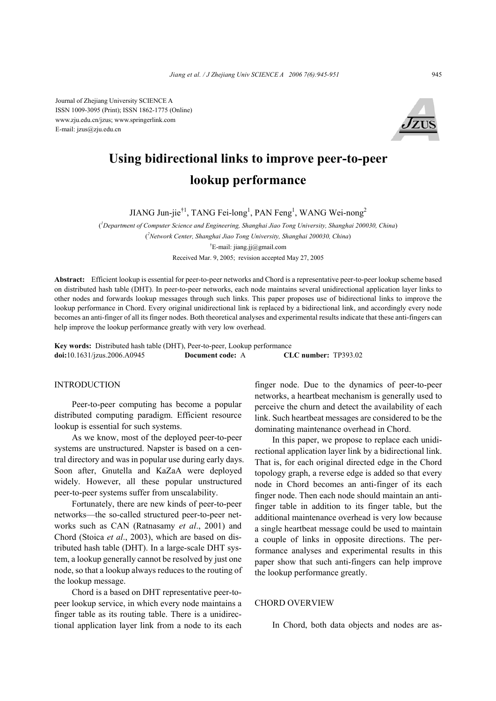Journal of Zhejiang University SCIENCE A ISSN 1009-3095 (Print); ISSN 1862-1775 (Online) www.zju.edu.cn/jzus; www.springerlink.com E-mail: jzus@zju.edu.cn



# **Using bidirectional links to improve peer-to-peer lookup performance**

JIANG Jun-jie<sup>†1</sup>, TANG Fei-long<sup>1</sup>, PAN Feng<sup>1</sup>, WANG Wei-nong<sup>2</sup>

( *1 Department of Computer Science and Engineering, Shanghai Jiao Tong University, Shanghai 200030, China*) ( *2 Network Center, Shanghai Jiao Tong University, Shanghai 200030, China*) † E-mail: jiang.jj@gmail.com Received Mar. 9, 2005; revision accepted May 27, 2005

**Abstract:** Efficient lookup is essential for peer-to-peer networks and Chord is a representative peer-to-peer lookup scheme based on distributed hash table (DHT). In peer-to-peer networks, each node maintains several unidirectional application layer links to other nodes and forwards lookup messages through such links. This paper proposes use of bidirectional links to improve the lookup performance in Chord. Every original unidirectional link is replaced by a bidirectional link, and accordingly every node becomes an anti-finger of all its finger nodes. Both theoretical analyses and experimental results indicate that these anti-fingers can help improve the lookup performance greatly with very low overhead.

**Key words:** Distributed hash table (DHT), Peer-to-peer, Lookup performance **doi:**10.1631/jzus.2006.A0945 **Document code:** A **CLC number:** TP393.02

## INTRODUCTION

Peer-to-peer computing has become a popular distributed computing paradigm. Efficient resource lookup is essential for such systems.

As we know, most of the deployed peer-to-peer systems are unstructured. Napster is based on a central directory and was in popular use during early days. Soon after, Gnutella and KaZaA were deployed widely. However, all these popular unstructured peer-to-peer systems suffer from unscalability.

Fortunately, there are new kinds of peer-to-peer networks—the so-called structured peer-to-peer networks such as CAN (Ratnasamy *et al*., 2001) and Chord (Stoica *et al*., 2003), which are based on distributed hash table (DHT). In a large-scale DHT system, a lookup generally cannot be resolved by just one node, so that a lookup always reduces to the routing of the lookup message.

Chord is a based on DHT representative peer-topeer lookup service, in which every node maintains a finger table as its routing table. There is a unidirectional application layer link from a node to its each finger node. Due to the dynamics of peer-to-peer networks, a heartbeat mechanism is generally used to perceive the churn and detect the availability of each link. Such heartbeat messages are considered to be the dominating maintenance overhead in Chord.

In this paper, we propose to replace each unidirectional application layer link by a bidirectional link. That is, for each original directed edge in the Chord topology graph, a reverse edge is added so that every node in Chord becomes an anti-finger of its each finger node. Then each node should maintain an antifinger table in addition to its finger table, but the additional maintenance overhead is very low because a single heartbeat message could be used to maintain a couple of links in opposite directions. The performance analyses and experimental results in this paper show that such anti-fingers can help improve the lookup performance greatly.

## CHORD OVERVIEW

In Chord, both data objects and nodes are as-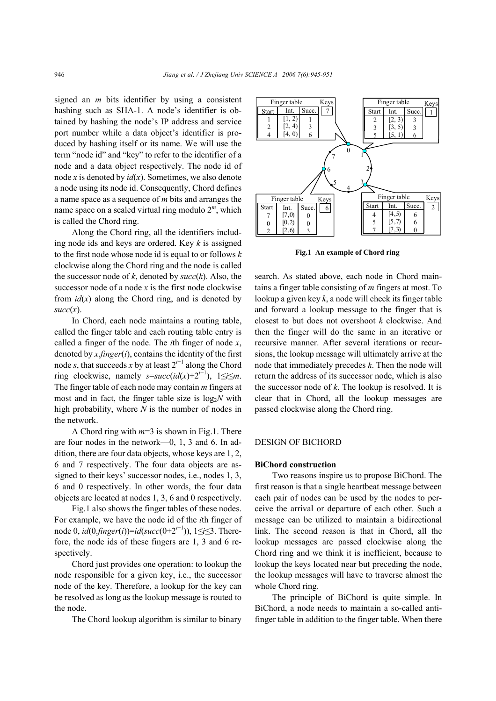signed an *m* bits identifier by using a consistent hashing such as SHA-1. A node's identifier is obtained by hashing the node's IP address and service port number while a data object's identifier is produced by hashing itself or its name. We will use the term "node id" and "key" to refer to the identifier of a node and a data object respectively. The node id of node *x* is denoted by *id*(*x*). Sometimes, we also denote a node using its node id. Consequently, Chord defines a name space as a sequence of *m* bits and arranges the name space on a scaled virtual ring modulo 2*<sup>m</sup>*, which is called the Chord ring.

Along the Chord ring, all the identifiers including node ids and keys are ordered. Key *k* is assigned to the first node whose node id is equal to or follows *k* clockwise along the Chord ring and the node is called the successor node of  $k$ , denoted by  $succ(k)$ . Also, the successor node of a node *x* is the first node clockwise from  $id(x)$  along the Chord ring, and is denoted by  $succ(x)$ .

In Chord, each node maintains a routing table, called the finger table and each routing table entry is called a finger of the node. The *i*th finger of node *x*, denoted by *x*.*finger*(*i*), contains the identity of the first node *s*, that succeeds *x* by at least  $2^{i-1}$  along the Chord  $r$  ring clockwise, namely  $s = succ(id(x)+2^{i-1})$ ,  $1 \leq i \leq m$ . The finger table of each node may contain *m* fingers at most and in fact, the finger table size is  $log_2N$  with high probability, where *N* is the number of nodes in the network.

A Chord ring with *m*=3 is shown in Fig.1. There are four nodes in the network—0, 1, 3 and 6. In addition, there are four data objects, whose keys are 1, 2, 6 and 7 respectively. The four data objects are assigned to their keys' successor nodes, i.e., nodes 1, 3, 6 and 0 respectively. In other words, the four data objects are located at nodes 1, 3, 6 and 0 respectively.

Fig.1 also shows the finger tables of these nodes. For example, we have the node id of the *i*th finger of node 0, *id*(0.*finger*(*i*))=*id*(*succ*(0+2*<sup>i</sup>*−<sup>1</sup> )), 1≤*i*≤3. Therefore, the node ids of these fingers are 1, 3 and 6 respectively.

Chord just provides one operation: to lookup the node responsible for a given key, i.e., the successor node of the key. Therefore, a lookup for the key can be resolved as long as the lookup message is routed to the node.

The Chord lookup algorithm is similar to binary



**Fig.1 An example of Chord ring** 

search. As stated above, each node in Chord maintains a finger table consisting of *m* fingers at most. To lookup a given key *k*, a node will check its finger table and forward a lookup message to the finger that is closest to but does not overshoot *k* clockwise. And then the finger will do the same in an iterative or recursive manner. After several iterations or recursions, the lookup message will ultimately arrive at the node that immediately precedes *k*. Then the node will return the address of its successor node, which is also the successor node of *k*. The lookup is resolved. It is clear that in Chord, all the lookup messages are passed clockwise along the Chord ring.

# DESIGN OF BICHORD

#### **BiChord construction**

Two reasons inspire us to propose BiChord. The first reason is that a single heartbeat message between each pair of nodes can be used by the nodes to perceive the arrival or departure of each other. Such a message can be utilized to maintain a bidirectional link. The second reason is that in Chord, all the lookup messages are passed clockwise along the Chord ring and we think it is inefficient, because to lookup the keys located near but preceding the node, the lookup messages will have to traverse almost the whole Chord ring.

The principle of BiChord is quite simple. In BiChord, a node needs to maintain a so-called antifinger table in addition to the finger table. When there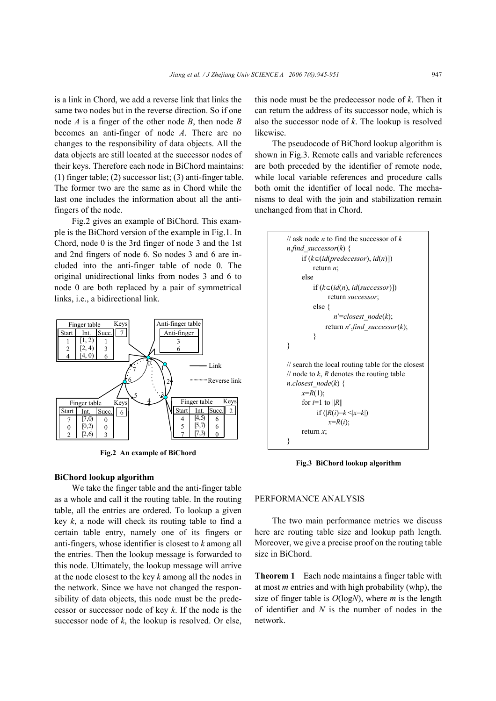is a link in Chord, we add a reverse link that links the same two nodes but in the reverse direction. So if one node *A* is a finger of the other node *B*, then node *B* becomes an anti-finger of node *A*. There are no changes to the responsibility of data objects. All the data objects are still located at the successor nodes of their keys. Therefore each node in BiChord maintains: (1) finger table; (2) successor list; (3) anti-finger table. The former two are the same as in Chord while the last one includes the information about all the antifingers of the node.

Fig.2 gives an example of BiChord. This example is the BiChord version of the example in Fig.1. In Chord, node 0 is the 3rd finger of node 3 and the 1st and 2nd fingers of node 6. So nodes 3 and 6 are included into the anti-finger table of node 0. The original unidirectional links from nodes 3 and 6 to node 0 are both replaced by a pair of symmetrical links, i.e., a bidirectional link.



**Fig.2 An example of BiChord** 

## **BiChord lookup algorithm**

We take the finger table and the anti-finger table as a whole and call it the routing table. In the routing table, all the entries are ordered. To lookup a given key *k*, a node will check its routing table to find a certain table entry, namely one of its fingers or anti-fingers, whose identifier is closest to *k* among all the entries. Then the lookup message is forwarded to this node. Ultimately, the lookup message will arrive at the node closest to the key *k* among all the nodes in the network. Since we have not changed the responsibility of data objects, this node must be the predecessor or successor node of key *k*. If the node is the successor node of *k*, the lookup is resolved. Or else,

this node must be the predecessor node of *k*. Then it can return the address of its successor node, which is also the successor node of *k*. The lookup is resolved likewise.

The pseudocode of BiChord lookup algorithm is shown in Fig.3. Remote calls and variable references are both preceded by the identifier of remote node, while local variable references and procedure calls both omit the identifier of local node. The mechanisms to deal with the join and stabilization remain unchanged from that in Chord.



**Fig.3 BiChord lookup algorithm** 

## PERFORMANCE ANALYSIS

The two main performance metrics we discuss here are routing table size and lookup path length. Moreover, we give a precise proof on the routing table size in BiChord.

**Theorem 1** Each node maintains a finger table with at most *m* entries and with high probability (whp), the size of finger table is *O*(log*N*), where *m* is the length of identifier and *N* is the number of nodes in the network.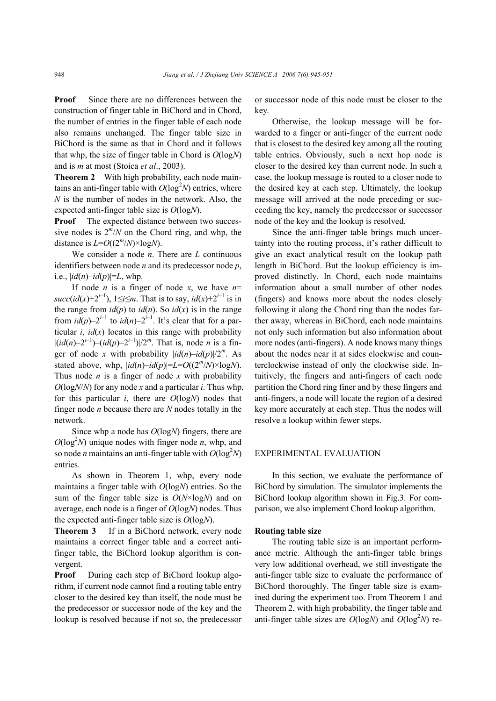**Proof** Since there are no differences between the construction of finger table in BiChord and in Chord, the number of entries in the finger table of each node also remains unchanged. The finger table size in BiChord is the same as that in Chord and it follows that whp, the size of finger table in Chord is *O*(log*N*) and is *m* at most (Stoica *et al*., 2003).

**Theorem 2** With high probability, each node maintains an anti-finger table with  $O(\log^2 N)$  entries, where *N* is the number of nodes in the network. Also, the expected anti-finger table size is *O*(log*N*).

**Proof** The expected distance between two successive nodes is  $2^m/N$  on the Chord ring, and whp, the distance is  $L=O((2<sup>m</sup>/N)\times log<sub>N</sub>)$ .

We consider a node *n*. There are *L* continuous identifiers between node *n* and its predecessor node *p*, i.e.,  $\left| \frac{id(n) - id(p)}{=}L, \text{whp.} \right|$ 

If node *n* is a finger of node *x*, we have  $n=$ *succ*(*id*(*x*)+2<sup>*i*–1</sup>), 1≤*i*≤*m*. That is to say, *id*(*x*)+2<sup>*i*–1</sup> is in the range from  $id(p)$  to  $id(n)$ . So  $id(x)$  is in the range from  $id(p) - 2^{i-1}$  to  $id(n) - 2^{i-1}$ . It's clear that for a particular  $i$ ,  $id(x)$  locates in this range with probability  $|(id(n)-2^{i-1})-(id(p)-2^{i-1})|/2^m$ . That is, node *n* is a finger of node *x* with probability  $\left| i d(n) - i d(p) \right| / 2^m$ . As stated above, whp,  $\left| i d(n) - i d(p) \right| = L = O((2^m/N) \times \log N)$ . Thus node *n* is a finger of node *x* with probability *O*(log*N*/*N*) for any node *x* and a particular *i*. Thus whp, for this particular *i*, there are *O*(log*N*) nodes that finger node *n* because there are *N* nodes totally in the network.

Since whp a node has *O*(log*N*) fingers, there are  $O(\log^2 N)$  unique nodes with finger node *n*, whp, and so node *n* maintains an anti-finger table with  $O(\log^2 N)$ entries.

As shown in Theorem 1, whp, every node maintains a finger table with *O*(log*N*) entries. So the sum of the finger table size is *O*(*N*×log*N*) and on average, each node is a finger of *O*(log*N*) nodes. Thus the expected anti-finger table size is *O*(log*N*).

**Theorem 3** If in a BiChord network, every node maintains a correct finger table and a correct antifinger table, the BiChord lookup algorithm is convergent.

**Proof** During each step of BiChord lookup algorithm, if current node cannot find a routing table entry closer to the desired key than itself, the node must be the predecessor or successor node of the key and the lookup is resolved because if not so, the predecessor

or successor node of this node must be closer to the key.

Otherwise, the lookup message will be forwarded to a finger or anti-finger of the current node that is closest to the desired key among all the routing table entries. Obviously, such a next hop node is closer to the desired key than current node. In such a case, the lookup message is routed to a closer node to the desired key at each step. Ultimately, the lookup message will arrived at the node preceding or succeeding the key, namely the predecessor or successor node of the key and the lookup is resolved.

Since the anti-finger table brings much uncertainty into the routing process, it's rather difficult to give an exact analytical result on the lookup path length in BiChord. But the lookup efficiency is improved distinctly. In Chord, each node maintains information about a small number of other nodes (fingers) and knows more about the nodes closely following it along the Chord ring than the nodes farther away, whereas in BiChord, each node maintains not only such information but also information about more nodes (anti-fingers). A node knows many things about the nodes near it at sides clockwise and counterclockwise instead of only the clockwise side. Intuitively, the fingers and anti-fingers of each node partition the Chord ring finer and by these fingers and anti-fingers, a node will locate the region of a desired key more accurately at each step. Thus the nodes will resolve a lookup within fewer steps.

## EXPERIMENTAL EVALUATION

In this section, we evaluate the performance of BiChord by simulation. The simulator implements the BiChord lookup algorithm shown in Fig.3. For comparison, we also implement Chord lookup algorithm.

#### **Routing table size**

The routing table size is an important performance metric. Although the anti-finger table brings very low additional overhead, we still investigate the anti-finger table size to evaluate the performance of BiChord thoroughly. The finger table size is examined during the experiment too. From Theorem 1 and Theorem 2, with high probability, the finger table and anti-finger table sizes are  $O(logN)$  and  $O(log^2N)$  re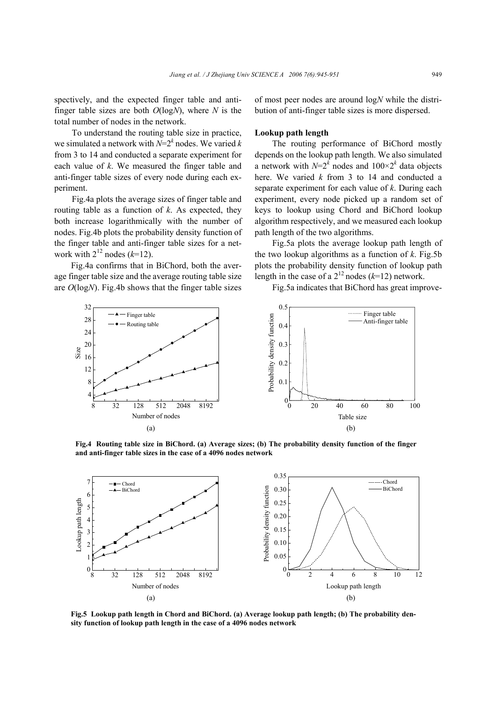spectively, and the expected finger table and antifinger table sizes are both *O*(log*N*), where *N* is the total number of nodes in the network.

To understand the routing table size in practice, we simulated a network with  $N=2^k$  nodes. We varied *k* from 3 to 14 and conducted a separate experiment for each value of *k*. We measured the finger table and anti-finger table sizes of every node during each experiment.

Fig.4a plots the average sizes of finger table and routing table as a function of *k*. As expected, they both increase logarithmically with the number of nodes. Fig.4b plots the probability density function of the finger table and anti-finger table sizes for a network with  $2^{12}$  nodes ( $k=12$ ).

Fig.4a confirms that in BiChord, both the average finger table size and the average routing table size are *O*(log*N*). Fig.4b shows that the finger table sizes of most peer nodes are around log*N* while the distribution of anti-finger table sizes is more dispersed.

## **Lookup path length**

The routing performance of BiChord mostly depends on the lookup path length. We also simulated a network with  $N=2^k$  nodes and  $100\times2^k$  data objects here. We varied *k* from 3 to 14 and conducted a separate experiment for each value of *k*. During each experiment, every node picked up a random set of keys to lookup using Chord and BiChord lookup algorithm respectively, and we measured each lookup path length of the two algorithms.

Fig.5a plots the average lookup path length of the two lookup algorithms as a function of  $k$ . Fig.5b plots the probability density function of lookup path length in the case of a  $2^{12}$  nodes ( $k=12$ ) network.

Fig.5a indicates that BiChord has great improve-



**Fig.4 Routing table size in BiChord. (a) Average sizes; (b) The probability density function of the finger and anti-finger table sizes in the case of a 4096 nodes network** 



**Fig.5 Lookup path length in Chord and BiChord. (a) Average lookup path length; (b) The probability density function of lookup path length in the case of a 4096 nodes network**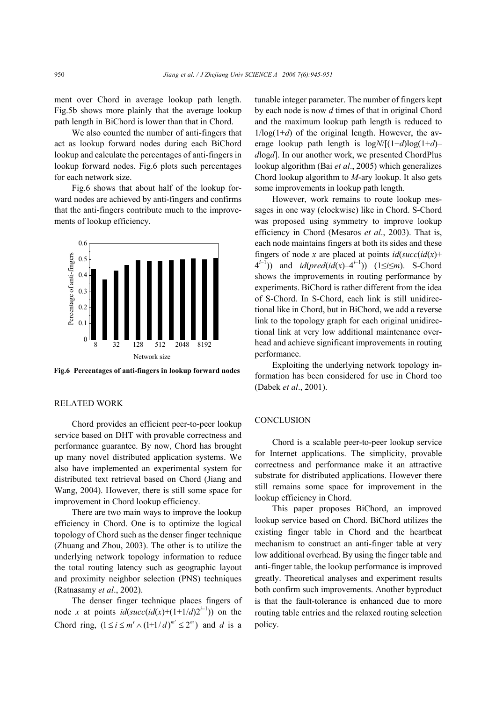ment over Chord in average lookup path length. Fig.5b shows more plainly that the average lookup path length in BiChord is lower than that in Chord.

We also counted the number of anti-fingers that act as lookup forward nodes during each BiChord lookup and calculate the percentages of anti-fingers in lookup forward nodes. Fig.6 plots such percentages for each network size.

Fig.6 shows that about half of the lookup forward nodes are achieved by anti-fingers and confirms that the anti-fingers contribute much to the improvements of lookup efficiency.



**Fig.6 Percentages of anti-fingers in lookup forward nodes**

#### RELATED WORK

Chord provides an efficient peer-to-peer lookup service based on DHT with provable correctness and performance guarantee. By now, Chord has brought up many novel distributed application systems. We also have implemented an experimental system for distributed text retrieval based on Chord (Jiang and Wang, 2004). However, there is still some space for improvement in Chord lookup efficiency.

There are two main ways to improve the lookup efficiency in Chord. One is to optimize the logical topology of Chord such as the denser finger technique (Zhuang and Zhou, 2003). The other is to utilize the underlying network topology information to reduce the total routing latency such as geographic layout and proximity neighbor selection (PNS) techniques (Ratnasamy *et al*., 2002).

The denser finger technique places fingers of node *x* at points  $id(succ(id(x)+(1+1/d)2^{i-1}))$  on the Chord ring,  $(1 \le i \le m' \land (1+1/d)^{m'} \le 2^m)$  and *d* is a

tunable integer parameter. The number of fingers kept by each node is now *d* times of that in original Chord and the maximum lookup path length is reduced to  $1/\log(1+d)$  of the original length. However, the average lookup path length is  $log N/[(1+d)log(1+d)$ *d*log*d*]. In our another work, we presented ChordPlus lookup algorithm (Bai *et al*., 2005) which generalizes Chord lookup algorithm to *M*-ary lookup. It also gets some improvements in lookup path length.

However, work remains to route lookup messages in one way (clockwise) like in Chord. S-Chord was proposed using symmetry to improve lookup efficiency in Chord (Mesaros *et al*., 2003). That is, each node maintains fingers at both its sides and these fingers of node *x* are placed at points  $id(succ(id(x)) +$ 4<sup>*i*–1</sup>)) and *id*(*pred*(*id*(*x*)–4<sup>*i*–1</sup>)) (1≤*i*≤*m*). S-Chord shows the improvements in routing performance by experiments. BiChord is rather different from the idea of S-Chord. In S-Chord, each link is still unidirectional like in Chord, but in BiChord, we add a reverse link to the topology graph for each original unidirectional link at very low additional maintenance overhead and achieve significant improvements in routing performance.

Exploiting the underlying network topology information has been considered for use in Chord too (Dabek *et al*., 2001).

#### **CONCLUSION**

Chord is a scalable peer-to-peer lookup service for Internet applications. The simplicity, provable correctness and performance make it an attractive substrate for distributed applications. However there still remains some space for improvement in the lookup efficiency in Chord.

This paper proposes BiChord, an improved lookup service based on Chord. BiChord utilizes the existing finger table in Chord and the heartbeat mechanism to construct an anti-finger table at very low additional overhead. By using the finger table and anti-finger table, the lookup performance is improved greatly. Theoretical analyses and experiment results both confirm such improvements. Another byproduct is that the fault-tolerance is enhanced due to more routing table entries and the relaxed routing selection policy.